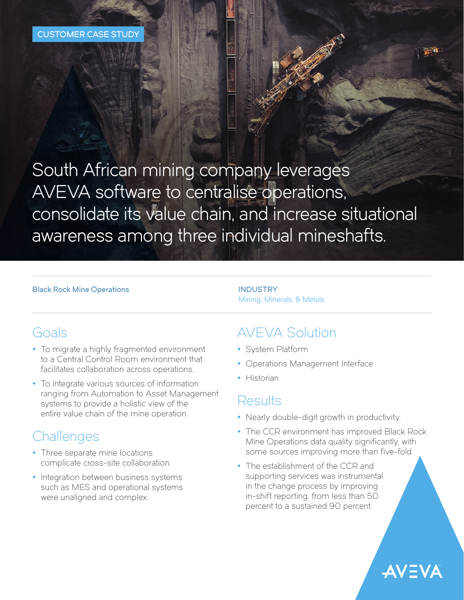South African mining company leverages AVEVA software to centralise operations, consolidate its value chain, and increase situational awareness among three individual mineshafts.

#### **Black Rock Mine Operations INDUSTRY**

# Mining, Minerals, & Metals

## Goals

- To migrate a highly fragmented environment to a Central Control Room environment that facilitates collaboration across operations.
- To integrate various sources of information ranging from Automation to Asset Management systems to provide a holistic view of the entire value chain of the mine operation.

## **Challenges**

- Three separate mine locations complicate cross-site collaboration.
- Integration between business systems such as MES and operational systems were unaligned and complex.

## AVEVA Solution

- System Platform
- Operations Management Interface
- Historian

## Results

- Nearly double-digit growth in productivity.
- The CCR environment has improved Black Rock Mine Operations data quality significantly, with some sources improving more than five-fold.

**AVEVA** 

• The establishment of the CCR and supporting services was instrumental in the change process by improving in-shift reporting, from less than 50 percent to a sustained 90 percent.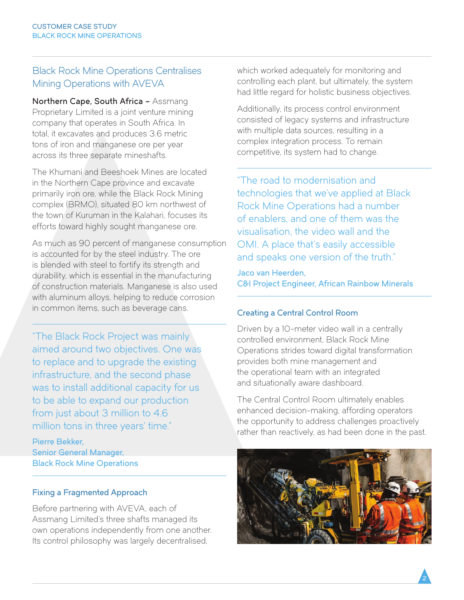### Black Rock Mine Operations Centralises Mining Operations with AVEVA

Northern Cape, South Africa - Assmang Proprietary Limited is a joint venture mining company that operates in South Africa. In total, it excavates and produces 3.6 metric tons of iron and manganese ore per year across its three separate mineshafts.

The Khumani and Beeshoek Mines are located in the Northern Cape province and excavate primarily iron ore, while the Black Rock Mining complex (BRMO), situated 80 km northwest of the town of Kuruman in the Kalahari, focuses its efforts toward highly sought manganese ore.

As much as 90 percent of manganese consumption is accounted for by the steel industry. The ore is blended with steel to fortify its strength and durability, which is essential in the manufacturing of construction materials. Manganese is also used with aluminum alloys, helping to reduce corrosion in common items, such as beverage cans.

"The Black Rock Project was mainly aimed around two objectives. One was to replace and to upgrade the existing infrastructure, and the second phase was to install additional capacity for us to be able to expand our production from just about 3 million to 4.6 million tons in three years' time."

Pierre Bekker, Senior General Manager, Black Rock Mine Operations

### Fixing a Fragmented Approach

Before partnering with AVEVA, each of Assmang Limited's three shafts managed its own operations independently from one another. Its control philosophy was largely decentralised,

which worked adequately for monitoring and controlling each plant, but ultimately, the system had little regard for holistic business objectives.

Additionally, its process control environment consisted of legacy systems and infrastructure with multiple data sources, resulting in a complex integration process. To remain competitive, its system had to change.

"The road to modernisation and technologies that we've applied at Black Rock Mine Operations had a number of enablers, and one of them was the visualisation, the video wall and the OMI. A place that's easily accessible and speaks one version of the truth."

Jaco van Heerden, C&I Project Engineer, African Rainbow Minerals

### Creating a Central Control Room

Driven by a 10-meter video wall in a centrally controlled environment, Black Rock Mine Operations strides toward digital transformation provides both mine management and the operational team with an integrated and situationally aware dashboard.

The Central Control Room ultimately enables enhanced decision-making, affording operators the opportunity to address challenges proactively rather than reactively, as had been done in the past.



 $2$